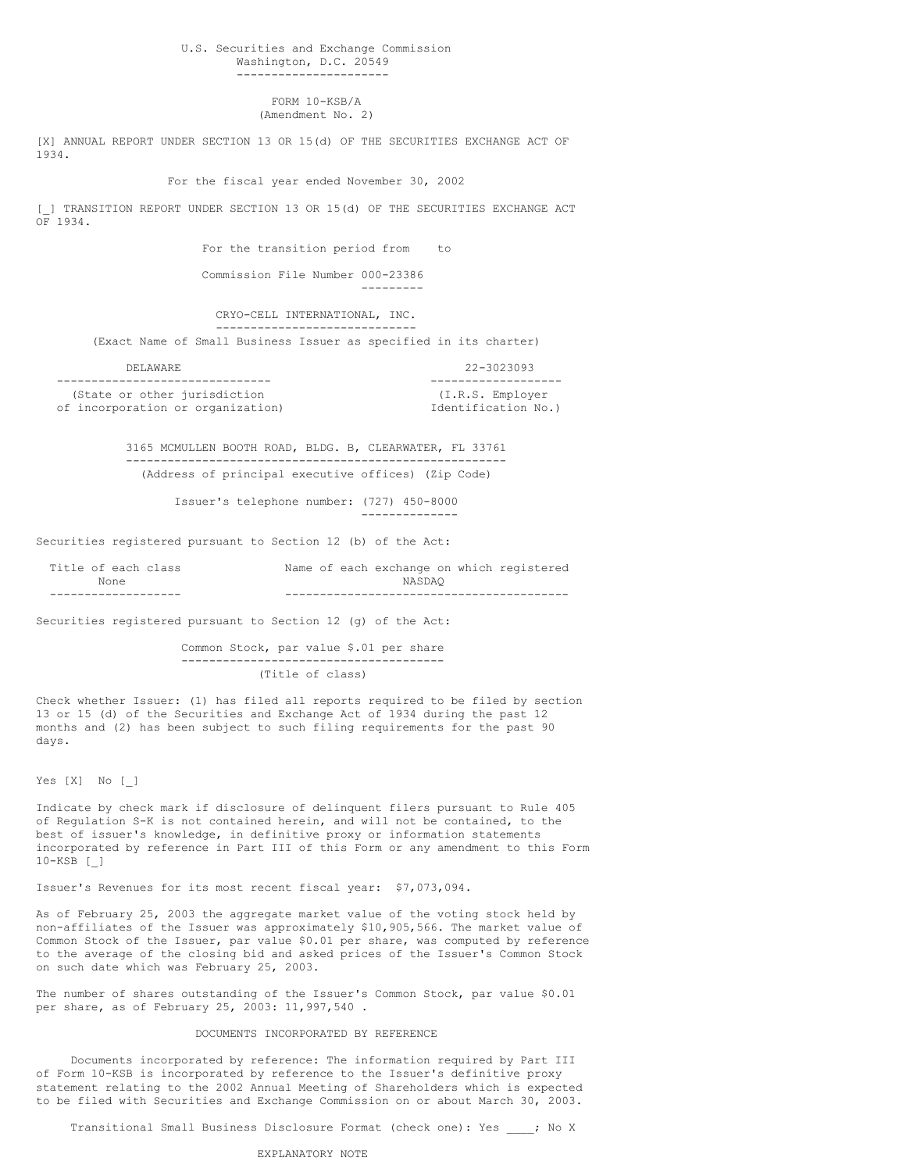#### U.S. Securities and Exchange Commission Washington, D.C. 20549 ----------------------

FORM 10-KSB/A (Amendment No. 2)

[X] ANNUAL REPORT UNDER SECTION 13 OR 15(d) OF THE SECURITIES EXCHANGE ACT OF 1934.

For the fiscal year ended November 30, 2002

[\_] TRANSITION REPORT UNDER SECTION 13 OR 15(d) OF THE SECURITIES EXCHANGE ACT OF 1934.

For the transition period from to

---------

Commission File Number 000-23386

CRYO-CELL INTERNATIONAL, INC. -----------------------------

(Exact Name of Small Business Issuer as specified in its charter)

| DELAWARE.                         | 22-3023093          |
|-----------------------------------|---------------------|
|                                   |                     |
| (State or other jurisdiction      | (I.R.S. Employer)   |
| of incorporation or organization) | Identification No.) |

3165 MCMULLEN BOOTH ROAD, BLDG. B, CLEARWATER, FL 33761 ------------------------------------------------------- (Address of principal executive offices) (Zip Code)

> Issuer's telephone number: (727) 450-8000 --------------

Securities registered pursuant to Section 12 (b) of the Act:

| Title of each class | Name of each exchange on which registered |  |
|---------------------|-------------------------------------------|--|
| None                | NASDAO                                    |  |
|                     |                                           |  |

Securities registered pursuant to Section 12 (g) of the Act:

Common Stock, par value \$.01 per share -------------------------------------- (Title of class)

Check whether Issuer: (1) has filed all reports required to be filed by section 13 or 15 (d) of the Securities and Exchange Act of 1934 during the past 12 months and (2) has been subject to such filing requirements for the past 90 days.

Yes [X] No [\_]

Indicate by check mark if disclosure of delinquent filers pursuant to Rule 405 of Regulation S-K is not contained herein, and will not be contained, to the best of issuer's knowledge, in definitive proxy or information statements incorporated by reference in Part III of this Form or any amendment to this Form 10-KSB [\_]

Issuer's Revenues for its most recent fiscal year: \$7,073,094.

As of February 25, 2003 the aggregate market value of the voting stock held by non-affiliates of the Issuer was approximately \$10,905,566. The market value of Common Stock of the Issuer, par value \$0.01 per share, was computed by reference to the average of the closing bid and asked prices of the Issuer's Common Stock on such date which was February 25, 2003.

The number of shares outstanding of the Issuer's Common Stock, par value \$0.01 per share, as of February 25, 2003: 11,997,540 .

#### DOCUMENTS INCORPORATED BY REFERENCE

Documents incorporated by reference: The information required by Part III of Form 10-KSB is incorporated by reference to the Issuer's definitive proxy statement relating to the 2002 Annual Meeting of Shareholders which is expected to be filed with Securities and Exchange Commission on or about March 30, 2003.

Transitional Small Business Disclosure Format (check one): Yes  $\qquad$  ; No X

#### EXPLANATORY NOTE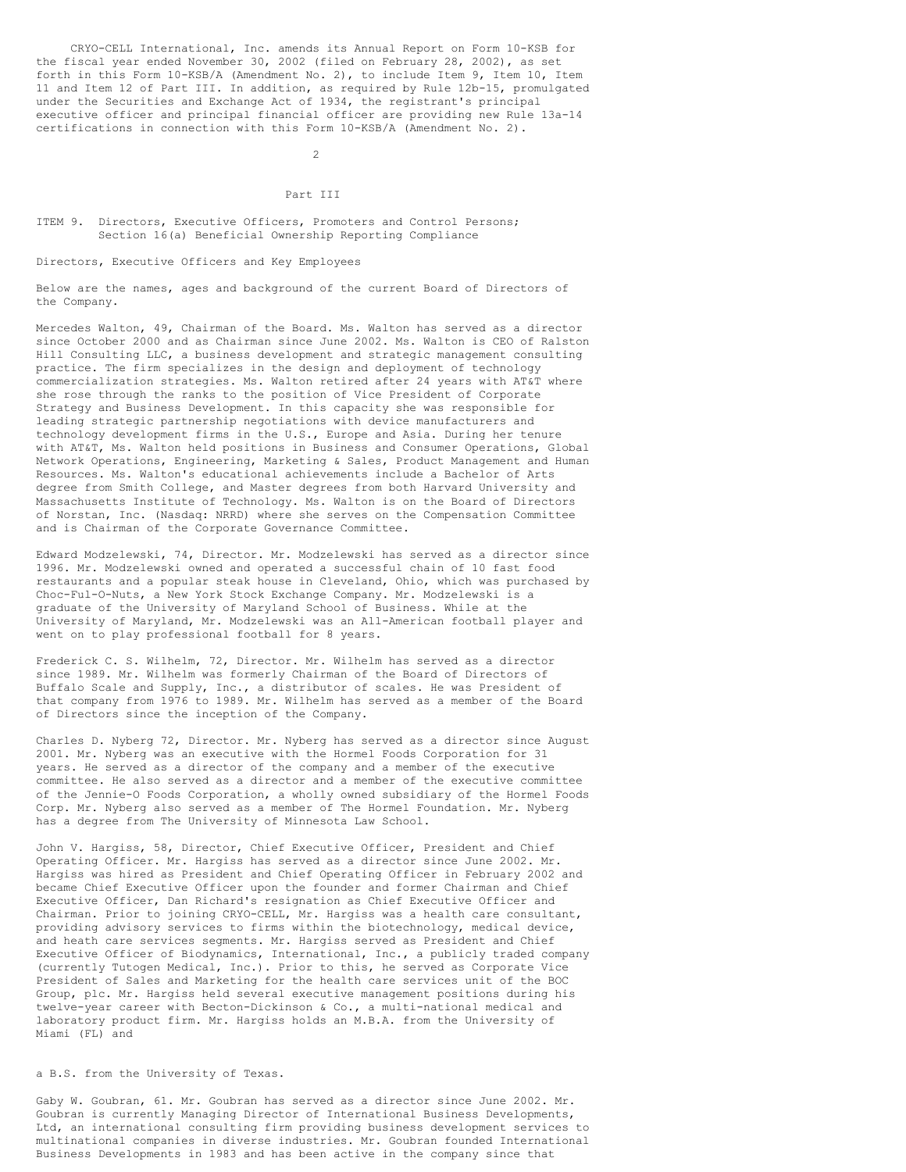CRYO-CELL International, Inc. amends its Annual Report on Form 10-KSB for the fiscal year ended November 30, 2002 (filed on February 28, 2002), as set forth in this Form 10-KSB/A (Amendment No. 2), to include Item 9, Item 10, Item 11 and Item 12 of Part III. In addition, as required by Rule 12b-15, promulgated under the Securities and Exchange Act of 1934, the registrant's principal executive officer and principal financial officer are providing new Rule 13a-14 certifications in connection with this Form 10-KSB/A (Amendment No. 2).

 $\mathcal{L}$ 

## Part III

### ITEM 9. Directors, Executive Officers, Promoters and Control Persons; Section 16(a) Beneficial Ownership Reporting Compliance

## Directors, Executive Officers and Key Employees

Below are the names, ages and background of the current Board of Directors of the Company.

Mercedes Walton, 49, Chairman of the Board. Ms. Walton has served as a director since October 2000 and as Chairman since June 2002. Ms. Walton is CEO of Ralston Hill Consulting LLC, a business development and strategic management consulting practice. The firm specializes in the design and deployment of technology commercialization strategies. Ms. Walton retired after 24 years with AT&T where she rose through the ranks to the position of Vice President of Corporate Strategy and Business Development. In this capacity she was responsible for leading strategic partnership negotiations with device manufacturers and technology development firms in the U.S., Europe and Asia. During her tenure with AT&T, Ms. Walton held positions in Business and Consumer Operations, Global Network Operations, Engineering, Marketing & Sales, Product Management and Human Resources. Ms. Walton's educational achievements include a Bachelor of Arts degree from Smith College, and Master degrees from both Harvard University and Massachusetts Institute of Technology. Ms. Walton is on the Board of Directors of Norstan, Inc. (Nasdaq: NRRD) where she serves on the Compensation Committee and is Chairman of the Corporate Governance Committee.

Edward Modzelewski, 74, Director. Mr. Modzelewski has served as a director since 1996. Mr. Modzelewski owned and operated a successful chain of 10 fast food restaurants and a popular steak house in Cleveland, Ohio, which was purchased by Choc-Ful-O-Nuts, a New York Stock Exchange Company. Mr. Modzelewski is a graduate of the University of Maryland School of Business. While at the University of Maryland, Mr. Modzelewski was an All-American football player and went on to play professional football for 8 years.

Frederick C. S. Wilhelm, 72, Director. Mr. Wilhelm has served as a director since 1989. Mr. Wilhelm was formerly Chairman of the Board of Directors of Buffalo Scale and Supply, Inc., a distributor of scales. He was President of that company from 1976 to 1989. Mr. Wilhelm has served as a member of the Board of Directors since the inception of the Company.

Charles D. Nyberg 72, Director. Mr. Nyberg has served as a director since August 2001. Mr. Nyberg was an executive with the Hormel Foods Corporation for 31 years. He served as a director of the company and a member of the executive committee. He also served as a director and a member of the executive committee of the Jennie-O Foods Corporation, a wholly owned subsidiary of the Hormel Foods Corp. Mr. Nyberg also served as a member of The Hormel Foundation. Mr. Nyberg has a degree from The University of Minnesota Law School.

John V. Hargiss, 58, Director, Chief Executive Officer, President and Chief Operating Officer. Mr. Hargiss has served as a director since June 2002. Mr. Hargiss was hired as President and Chief Operating Officer in February 2002 and became Chief Executive Officer upon the founder and former Chairman and Chief Executive Officer, Dan Richard's resignation as Chief Executive Officer and Chairman. Prior to joining CRYO-CELL, Mr. Hargiss was a health care consultant, providing advisory services to firms within the biotechnology, medical device, and heath care services segments. Mr. Hargiss served as President and Chief Executive Officer of Biodynamics, International, Inc., a publicly traded company (currently Tutogen Medical, Inc.). Prior to this, he served as Corporate Vice President of Sales and Marketing for the health care services unit of the BOC Group, plc. Mr. Hargiss held several executive management positions during his twelve-year career with Becton-Dickinson & Co., a multi-national medical and laboratory product firm. Mr. Hargiss holds an M.B.A. from the University of Miami (FL) and

# a B.S. from the University of Texas.

Gaby W. Goubran, 61. Mr. Goubran has served as a director since June 2002. Mr. Goubran is currently Managing Director of International Business Developments, Ltd, an international consulting firm providing business development services to multinational companies in diverse industries. Mr. Goubran founded International Business Developments in 1983 and has been active in the company since that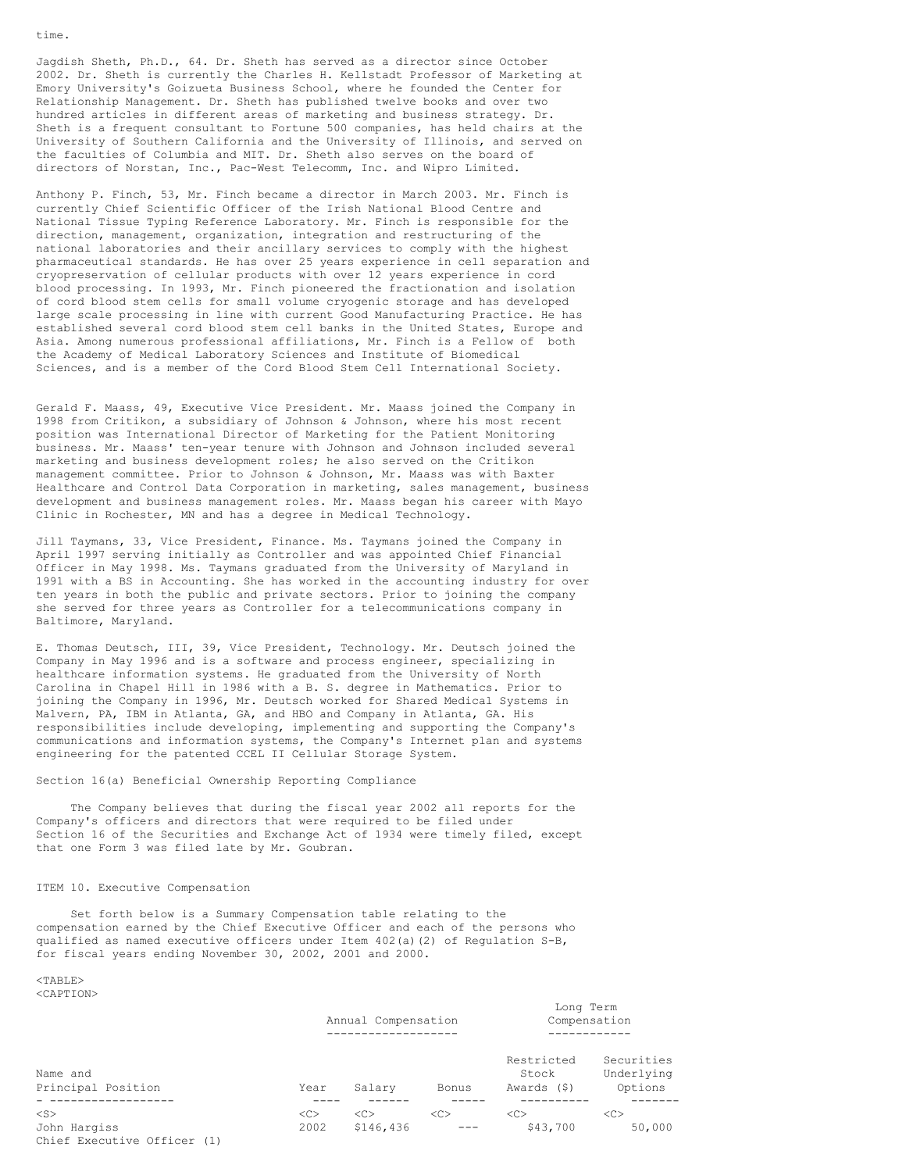Jagdish Sheth, Ph.D., 64. Dr. Sheth has served as a director since October 2002. Dr. Sheth is currently the Charles H. Kellstadt Professor of Marketing at Emory University's Goizueta Business School, where he founded the Center for Relationship Management. Dr. Sheth has published twelve books and over two hundred articles in different areas of marketing and business strategy. Dr. Sheth is a frequent consultant to Fortune 500 companies, has held chairs at the University of Southern California and the University of Illinois, and served on the faculties of Columbia and MIT. Dr. Sheth also serves on the board of directors of Norstan, Inc., Pac-West Telecomm, Inc. and Wipro Limited.

Anthony P. Finch, 53, Mr. Finch became a director in March 2003. Mr. Finch is currently Chief Scientific Officer of the Irish National Blood Centre and National Tissue Typing Reference Laboratory. Mr. Finch is responsible for the direction, management, organization, integration and restructuring of the national laboratories and their ancillary services to comply with the highest pharmaceutical standards. He has over 25 years experience in cell separation and cryopreservation of cellular products with over 12 years experience in cord blood processing. In 1993, Mr. Finch pioneered the fractionation and isolation of cord blood stem cells for small volume cryogenic storage and has developed large scale processing in line with current Good Manufacturing Practice. He has established several cord blood stem cell banks in the United States, Europe and Asia. Among numerous professional affiliations, Mr. Finch is a Fellow of both the Academy of Medical Laboratory Sciences and Institute of Biomedical Sciences, and is a member of the Cord Blood Stem Cell International Society.

Gerald F. Maass, 49, Executive Vice President. Mr. Maass joined the Company in 1998 from Critikon, a subsidiary of Johnson & Johnson, where his most recent position was International Director of Marketing for the Patient Monitoring business. Mr. Maass' ten-year tenure with Johnson and Johnson included several marketing and business development roles; he also served on the Critikon management committee. Prior to Johnson & Johnson, Mr. Maass was with Baxter Healthcare and Control Data Corporation in marketing, sales management, business development and business management roles. Mr. Maass began his career with Mayo Clinic in Rochester, MN and has a degree in Medical Technology.

Jill Taymans, 33, Vice President, Finance. Ms. Taymans joined the Company in April 1997 serving initially as Controller and was appointed Chief Financial Officer in May 1998. Ms. Taymans graduated from the University of Maryland in 1991 with a BS in Accounting. She has worked in the accounting industry for over ten years in both the public and private sectors. Prior to joining the company she served for three years as Controller for a telecommunications company in Baltimore, Maryland.

E. Thomas Deutsch, III, 39, Vice President, Technology. Mr. Deutsch joined the Company in May 1996 and is a software and process engineer, specializing in healthcare information systems. He graduated from the University of North Carolina in Chapel Hill in 1986 with a B. S. degree in Mathematics. Prior to joining the Company in 1996, Mr. Deutsch worked for Shared Medical Systems in Malvern, PA, IBM in Atlanta, GA, and HBO and Company in Atlanta, GA. His responsibilities include developing, implementing and supporting the Company's communications and information systems, the Company's Internet plan and systems engineering for the patented CCEL II Cellular Storage System.

# Section 16(a) Beneficial Ownership Reporting Compliance

The Company believes that during the fiscal year 2002 all reports for the Company's officers and directors that were required to be filed under Section 16 of the Securities and Exchange Act of 1934 were timely filed, except that one Form 3 was filed late by Mr. Goubran.

### ITEM 10. Executive Compensation

Set forth below is a Summary Compensation table relating to the compensation earned by the Chief Executive Officer and each of the persons who qualified as named executive officers under Item 402(a)(2) of Regulation S-B, for fiscal years ending November 30, 2002, 2001 and 2000.

<TABLE> <CAPTION>

|                                             | Annual Compensation<br>----------- |               | Long Term<br>Compensation |                                    |                                     |
|---------------------------------------------|------------------------------------|---------------|---------------------------|------------------------------------|-------------------------------------|
| Name and<br>Principal Position              | Year                               | Salary        | Bonus                     | Restricted<br>Stock<br>Awards (\$) | Securities<br>Underlying<br>Options |
| $<$ S $>$                                   | <<                                 | < <sub></sub> | < <sub></sub>             | < <sub></sub>                      | <<                                  |
| John Hargiss<br>Chief Executive Officer (1) | 2002                               | \$146,436     |                           | \$43,700                           | 50,000                              |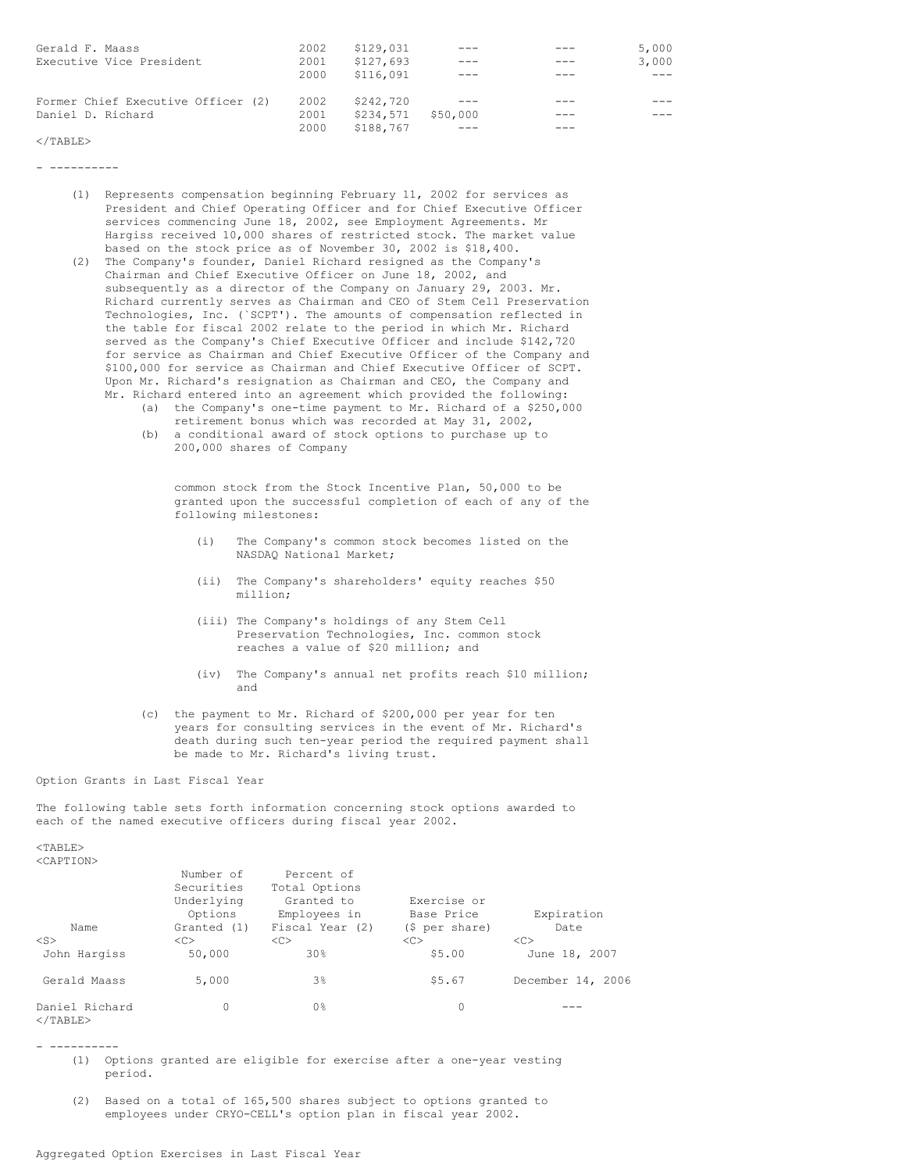| Gerald F. Maass<br>Executive Vice President             | 2002<br>2001<br>2000 | \$129.031<br>\$127,693<br>\$116,091 | $- - -$<br>$- - -$  | $- - -$ | 5,000<br>3,000 |
|---------------------------------------------------------|----------------------|-------------------------------------|---------------------|---------|----------------|
| Former Chief Executive Officer (2)<br>Daniel D. Richard | 2002<br>2001         | \$242.720<br>\$234.571              | $- - -$<br>\$50,000 | ---     |                |
|                                                         | 2000                 | \$188.767                           |                     |         |                |

 $<$ /TABLE>

- ----------

- (1) Represents compensation beginning February 11, 2002 for services as President and Chief Operating Officer and for Chief Executive Officer services commencing June 18, 2002, see Employment Agreements. Mr Hargiss received 10,000 shares of restricted stock. The market value based on the stock price as of November 30, 2002 is \$18,400.
- (2) The Company's founder, Daniel Richard resigned as the Company's Chairman and Chief Executive Officer on June 18, 2002, and subsequently as a director of the Company on January 29, 2003. Mr. Richard currently serves as Chairman and CEO of Stem Cell Preservation Technologies, Inc. (`SCPT'). The amounts of compensation reflected in the table for fiscal 2002 relate to the period in which Mr. Richard served as the Company's Chief Executive Officer and include \$142,720 for service as Chairman and Chief Executive Officer of the Company and \$100,000 for service as Chairman and Chief Executive Officer of SCPT. Upon Mr. Richard's resignation as Chairman and CEO, the Company and Mr. Richard entered into an agreement which provided the following:
	- (a) the Company's one-time payment to Mr. Richard of a \$250,000 retirement bonus which was recorded at May 31, 2002,
		- (b) a conditional award of stock options to purchase up to 200,000 shares of Company

common stock from the Stock Incentive Plan, 50,000 to be granted upon the successful completion of each of any of the following milestones:

- (i) The Company's common stock becomes listed on the NASDAQ National Market;
- (ii) The Company's shareholders' equity reaches \$50 million;
- (iii) The Company's holdings of any Stem Cell Preservation Technologies, Inc. common stock reaches a value of \$20 million; and
- (iv) The Company's annual net profits reach \$10 million; and
- (c) the payment to Mr. Richard of \$200,000 per year for ten years for consulting services in the event of Mr. Richard's death during such ten-year period the required payment shall be made to Mr. Richard's living trust.

Option Grants in Last Fiscal Year

The following table sets forth information concerning stock options awarded to each of the named executive officers during fiscal year 2002.

<TABLE> <CAPTION>

|                                     | Number of     | Percent of      |                |                   |
|-------------------------------------|---------------|-----------------|----------------|-------------------|
|                                     | Securities    | Total Options   |                |                   |
|                                     | Underlying    | Granted to      | Exercise or    |                   |
|                                     | Options       | Employees in    | Base Price     | Expiration        |
| Name                                | Granted (1)   | Fiscal Year (2) | (\$ per share) | Date              |
| $<$ S $>$                           | < <sub></sub> | < <sub></sub>   | < <sub></sub>  | <<                |
| John Hargiss                        | 50,000        | 30 <sub>8</sub> | \$5.00         | June 18, 2007     |
| Gerald Maass                        | 5,000         | 3 <sup>°</sup>  | \$5.67         | December 14, 2006 |
| Daniel Richard<br>$\langle$ /TABLE> |               | 0 <sup>°</sup>  |                |                   |

- ----------

- (1) Options granted are eligible for exercise after a one-year vesting period.
- (2) Based on a total of 165,500 shares subject to options granted to employees under CRYO-CELL's option plan in fiscal year 2002.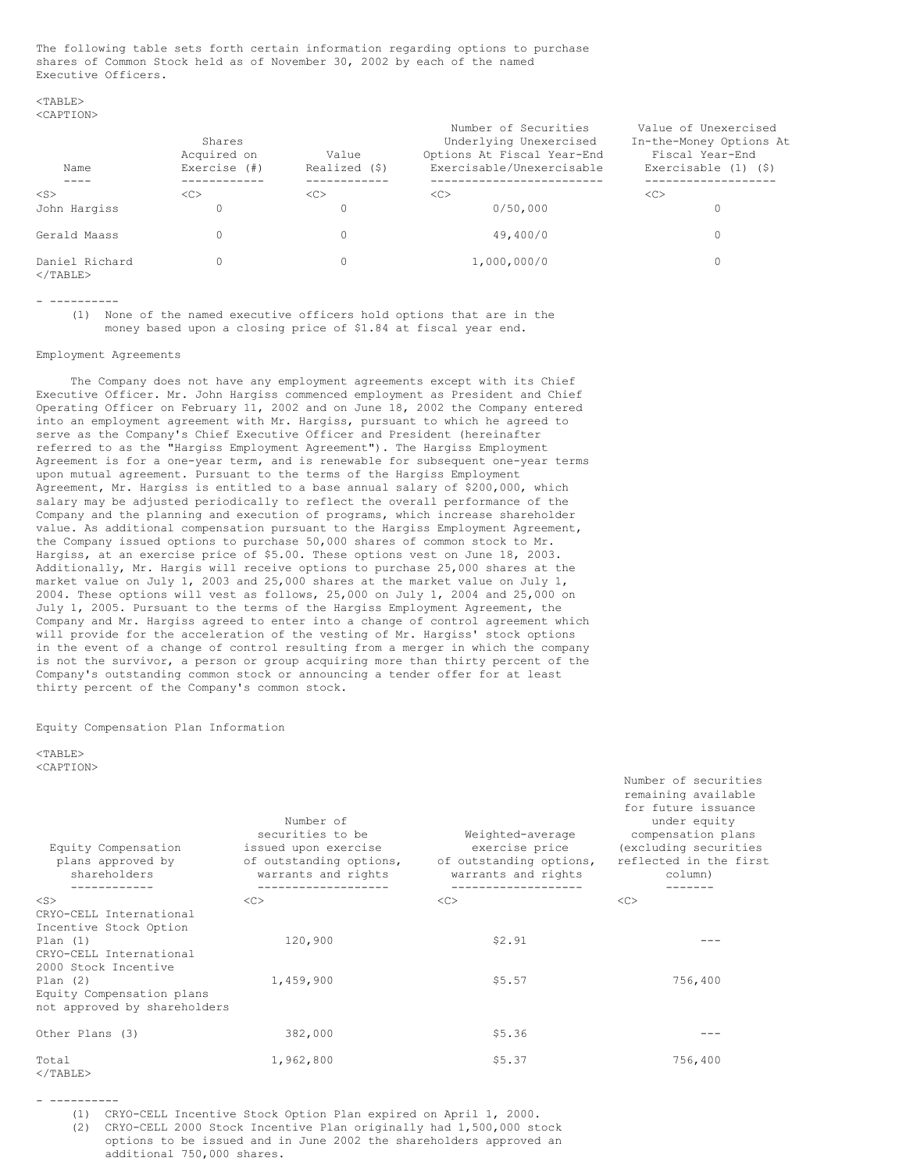The following table sets forth certain information regarding options to purchase shares of Common Stock held as of November 30, 2002 by each of the named Executive Officers.

<TABLE> <CAPTION>

| Name                                | Shares<br>Acquired on<br>Exercise (#) | Value<br>Realized (\$) | Number of Securities<br>Underlying Unexercised<br>Options At Fiscal Year-End<br>Exercisable/Unexercisable | Value of Unexercised<br>In-the-Money Options At<br>Fiscal Year-End<br>Exercisable $(1)$ $(\$)$ |
|-------------------------------------|---------------------------------------|------------------------|-----------------------------------------------------------------------------------------------------------|------------------------------------------------------------------------------------------------|
| $<$ S>                              | < <sub></sub>                         | < <sub></sub>          | < <sub></sub>                                                                                             | < <sub></sub>                                                                                  |
| John Hargiss                        |                                       | 0                      | 0/50.000                                                                                                  |                                                                                                |
| Gerald Maass                        |                                       | 0                      | 49,400/0                                                                                                  | $\Omega$                                                                                       |
| Daniel Richard<br>$\langle$ /TABLE> |                                       | 0                      | 1,000,000/0                                                                                               |                                                                                                |

- ----------

(1) None of the named executive officers hold options that are in the money based upon a closing price of \$1.84 at fiscal year end.

#### Employment Agreements

The Company does not have any employment agreements except with its Chief Executive Officer. Mr. John Hargiss commenced employment as President and Chief Operating Officer on February 11, 2002 and on June 18, 2002 the Company entered into an employment agreement with Mr. Hargiss, pursuant to which he agreed to serve as the Company's Chief Executive Officer and President (hereinafter referred to as the "Hargiss Employment Agreement"). The Hargiss Employment Agreement is for a one-year term, and is renewable for subsequent one-year terms upon mutual agreement. Pursuant to the terms of the Hargiss Employment Agreement, Mr. Hargiss is entitled to a base annual salary of \$200,000, which salary may be adjusted periodically to reflect the overall performance of the Company and the planning and execution of programs, which increase shareholder value. As additional compensation pursuant to the Hargiss Employment Agreement, the Company issued options to purchase 50,000 shares of common stock to Mr. Hargiss, at an exercise price of \$5.00. These options vest on June 18, 2003. Additionally, Mr. Hargis will receive options to purchase 25,000 shares at the market value on July 1, 2003 and 25,000 shares at the market value on July 1, 2004. These options will vest as follows, 25,000 on July 1, 2004 and 25,000 on July 1, 2005. Pursuant to the terms of the Hargiss Employment Agreement, the Company and Mr. Hargiss agreed to enter into a change of control agreement which will provide for the acceleration of the vesting of Mr. Hargiss' stock options in the event of a change of control resulting from a merger in which the company is not the survivor, a person or group acquiring more than thirty percent of the Company's outstanding common stock or announcing a tender offer for at least thirty percent of the Company's common stock.

### Equity Compensation Plan Information

 $<$ TABLE> <CAPTION>

| Equity Compensation<br>plans approved by<br>shareholders  | Number of<br>securities to be<br>issued upon exercise<br>warrants and rights | Weighted-average<br>of outstanding options, of outstanding options, reflected in the first<br>warrants and rights | Number of securities<br>remaining available<br>for future issuance<br>under equity<br>compensation plans<br>exercise price (excluding securities<br>column) |
|-----------------------------------------------------------|------------------------------------------------------------------------------|-------------------------------------------------------------------------------------------------------------------|-------------------------------------------------------------------------------------------------------------------------------------------------------------|
| $<$ S $>$                                                 | -------------------<br><<                                                    | ----------------<br><<                                                                                            | <<                                                                                                                                                          |
| CRYO-CELL International<br>Incentive Stock Option         |                                                                              |                                                                                                                   |                                                                                                                                                             |
| Plan(1)                                                   | 120,900                                                                      | \$2.91                                                                                                            |                                                                                                                                                             |
| CRYO-CELL International                                   |                                                                              |                                                                                                                   |                                                                                                                                                             |
| 2000 Stock Incentive                                      |                                                                              |                                                                                                                   |                                                                                                                                                             |
| Plan $(2)$                                                | 1,459,900                                                                    | \$5.57                                                                                                            | 756,400                                                                                                                                                     |
| Equity Compensation plans<br>not approved by shareholders |                                                                              |                                                                                                                   |                                                                                                                                                             |
| Other Plans (3)                                           | 382,000                                                                      | \$5.36                                                                                                            |                                                                                                                                                             |
| Total<br>$<$ /TABLE>                                      | 1,962,800                                                                    | \$5.37                                                                                                            | 756,400                                                                                                                                                     |

- ----------

(1) CRYO-CELL Incentive Stock Option Plan expired on April 1, 2000. (2) CRYO-CELL 2000 Stock Incentive Plan originally had 1,500,000 stock

options to be issued and in June 2002 the shareholders approved an additional 750,000 shares.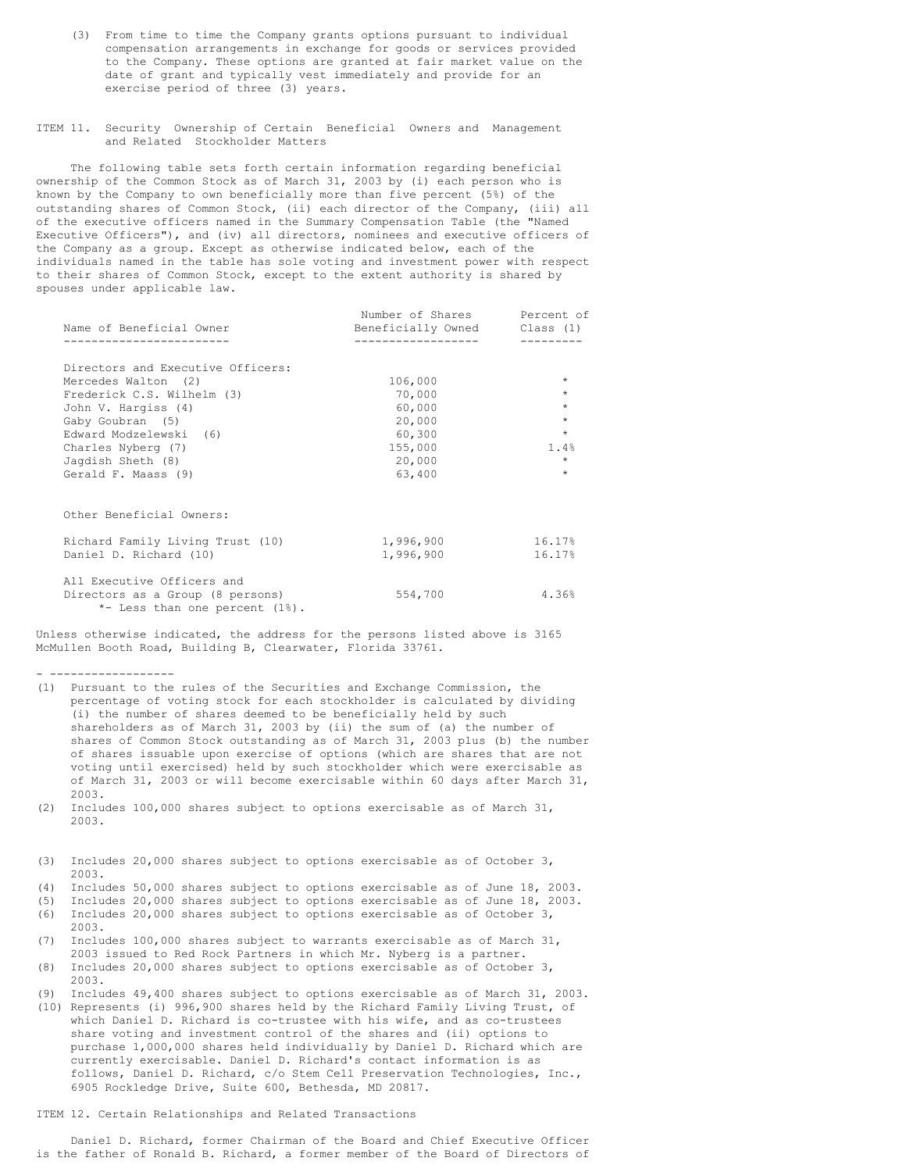(3) From time to time the Company grants options pursuant to individual compensation arrangements in exchange for goods or services provided to the Company. These options are granted at fair market value on the date of grant and typically vest immediately and provide for an exercise period of three (3) years.

ITEM 11. Security Ownership of Certain Beneficial Owners and Management and Related Stockholder Matters

The following table sets forth certain information regarding beneficial ownership of the Common Stock as of March 31, 2003 by (i) each person who is known by the Company to own beneficially more than five percent (5%) of the outstanding shares of Common Stock, (ii) each director of the Company, (iii) all of the executive officers named in the Summary Compensation Table (the "Named Executive Officers"), and (iv) all directors, nominees and executive officers of the Company as a group. Except as otherwise indicated below, each of the individuals named in the table has sole voting and investment power with respect to their shares of Common Stock, except to the extent authority is shared by spouses under applicable law.

| Name of Beneficial Owner                                           | Number of Shares Percent of<br>Beneficially Owned Class (1) |           |
|--------------------------------------------------------------------|-------------------------------------------------------------|-----------|
| -----------------------                                            |                                                             | --------- |
| Directors and Executive Officers:                                  |                                                             |           |
| Mercedes Walton (2)                                                | 106,000                                                     | $\star$   |
| Frederick C.S. Wilhelm (3)                                         | 70,000                                                      | $\star$   |
| John V. Hargiss (4)                                                | 60,000                                                      | $\star$   |
| Gaby Goubran (5)                                                   | 20,000                                                      | $\star$   |
| Edward Modzelewski (6)                                             | 60,300                                                      | $\star$   |
| Charles Nyberg (7)                                                 | 155,000                                                     | 1.4%      |
| Jaqdish Sheth (8)                                                  | 20,000                                                      | $\star$   |
| Gerald F. Maass (9)                                                | 63,400                                                      | $\star$   |
| Other Beneficial Owners:                                           |                                                             |           |
| Richard Family Living Trust (10)                                   | 1,996,900                                                   | 16.17%    |
| Daniel D. Richard (10)                                             | 1,996,900                                                   | 16.17%    |
| All Executive Officers and                                         |                                                             |           |
| Directors as a Group (8 persons)<br>*- Less than one percent (1%). | 554,700                                                     | 4.36%     |

Unless otherwise indicated, the address for the persons listed above is 3165 McMullen Booth Road, Building B, Clearwater, Florida 33761.

- ------------------

(1) Pursuant to the rules of the Securities and Exchange Commission, the percentage of voting stock for each stockholder is calculated by dividing (i) the number of shares deemed to be beneficially held by such shareholders as of March 31, 2003 by (ii) the sum of (a) the number of shares of Common Stock outstanding as of March 31, 2003 plus (b) the number of shares issuable upon exercise of options (which are shares that are not voting until exercised) held by such stockholder which were exercisable as of March 31, 2003 or will become exercisable within 60 days after March 31, 2003.

- (2) Includes 100,000 shares subject to options exercisable as of March 31, 2003.
- (3) Includes 20,000 shares subject to options exercisable as of October 3, 2003.
- (4) Includes 50,000 shares subject to options exercisable as of June 18, 2003.
- (5) Includes 20,000 shares subject to options exercisable as of June 18, 2003. (6) Includes 20,000 shares subject to options exercisable as of October 3, 2003.
- (7) Includes 100,000 shares subject to warrants exercisable as of March 31, 2003 issued to Red Rock Partners in which Mr. Nyberg is a partner.
- (8) Includes 20,000 shares subject to options exercisable as of October 3, 2003.
- (9) Includes 49,400 shares subject to options exercisable as of March 31, 2003. (10) Represents (i) 996,900 shares held by the Richard Family Living Trust, of which Daniel D. Richard is co-trustee with his wife, and as co-trustees share voting and investment control of the shares and (ii) options to purchase 1,000,000 shares held individually by Daniel D. Richard which are currently exercisable. Daniel D. Richard's contact information is as follows, Daniel D. Richard, c/o Stem Cell Preservation Technologies, Inc., 6905 Rockledge Drive, Suite 600, Bethesda, MD 20817.

ITEM 12. Certain Relationships and Related Transactions

Daniel D. Richard, former Chairman of the Board and Chief Executive Officer is the father of Ronald B. Richard, a former member of the Board of Directors of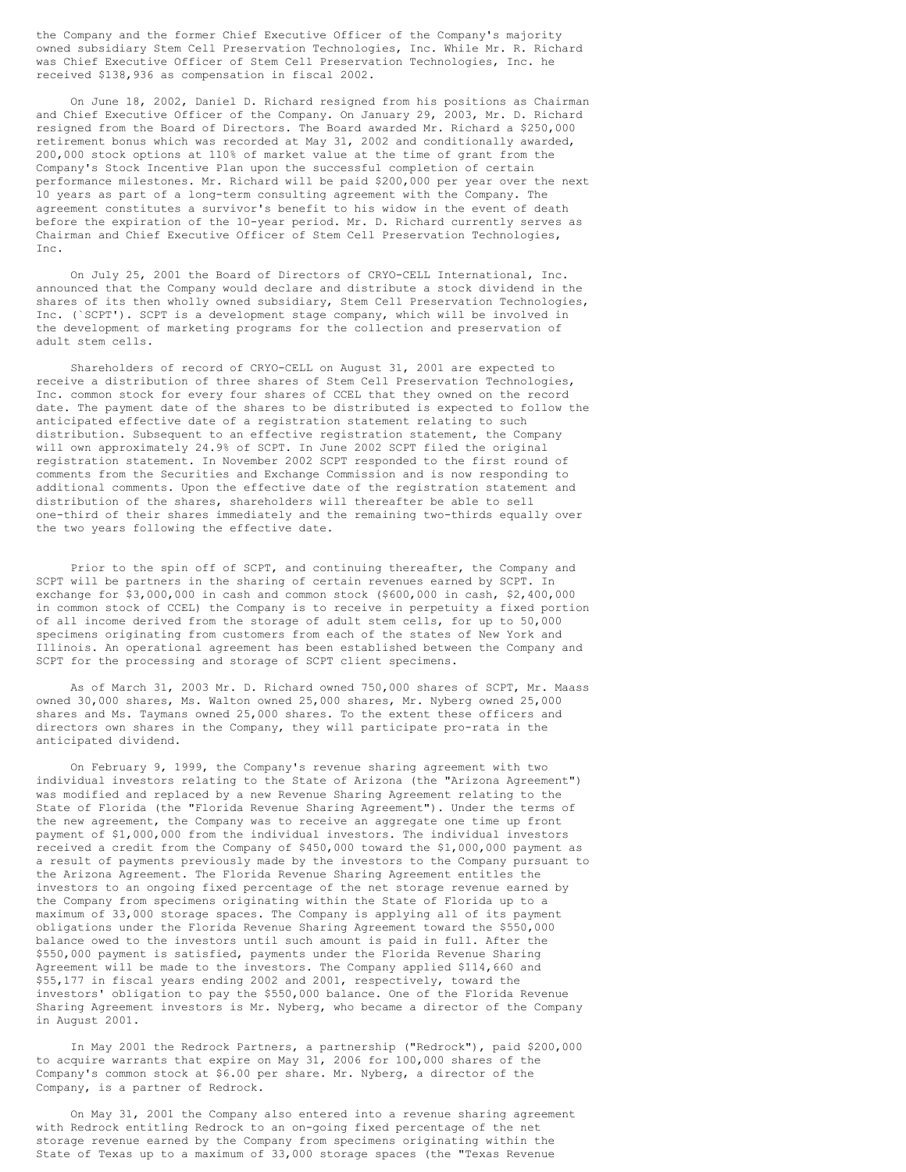the Company and the former Chief Executive Officer of the Company's majority owned subsidiary Stem Cell Preservation Technologies, Inc. While Mr. R. Richard was Chief Executive Officer of Stem Cell Preservation Technologies, Inc. he received \$138,936 as compensation in fiscal 2002.

On June 18, 2002, Daniel D. Richard resigned from his positions as Chairman and Chief Executive Officer of the Company. On January 29, 2003, Mr. D. Richard resigned from the Board of Directors. The Board awarded Mr. Richard a \$250,000 retirement bonus which was recorded at May 31, 2002 and conditionally awarded, 200,000 stock options at 110% of market value at the time of grant from the Company's Stock Incentive Plan upon the successful completion of certain performance milestones. Mr. Richard will be paid \$200,000 per year over the next 10 years as part of a long-term consulting agreement with the Company. The agreement constitutes a survivor's benefit to his widow in the event of death before the expiration of the 10-year period. Mr. D. Richard currently serves as Chairman and Chief Executive Officer of Stem Cell Preservation Technologies, Inc.

On July 25, 2001 the Board of Directors of CRYO-CELL International, Inc. announced that the Company would declare and distribute a stock dividend in the shares of its then wholly owned subsidiary, Stem Cell Preservation Technologies, Inc. (`SCPT'). SCPT is a development stage company, which will be involved in the development of marketing programs for the collection and preservation of adult stem cells.

Shareholders of record of CRYO-CELL on August 31, 2001 are expected to receive a distribution of three shares of Stem Cell Preservation Technologies, Inc. common stock for every four shares of CCEL that they owned on the record date. The payment date of the shares to be distributed is expected to follow the anticipated effective date of a registration statement relating to such distribution. Subsequent to an effective registration statement, the Company will own approximately 24.9% of SCPT. In June 2002 SCPT filed the original registration statement. In November 2002 SCPT responded to the first round of comments from the Securities and Exchange Commission and is now responding to additional comments. Upon the effective date of the registration statement and distribution of the shares, shareholders will thereafter be able to sell one-third of their shares immediately and the remaining two-thirds equally over the two years following the effective date.

Prior to the spin off of SCPT, and continuing thereafter, the Company and SCPT will be partners in the sharing of certain revenues earned by SCPT. In exchange for \$3,000,000 in cash and common stock (\$600,000 in cash, \$2,400,000 in common stock of CCEL) the Company is to receive in perpetuity a fixed portion of all income derived from the storage of adult stem cells, for up to 50,000 specimens originating from customers from each of the states of New York and Illinois. An operational agreement has been established between the Company and SCPT for the processing and storage of SCPT client specimens.

As of March 31, 2003 Mr. D. Richard owned 750,000 shares of SCPT, Mr. Maass owned 30,000 shares, Ms. Walton owned 25,000 shares, Mr. Nyberg owned 25,000 shares and Ms. Taymans owned 25,000 shares. To the extent these officers and directors own shares in the Company, they will participate pro-rata in the anticipated dividend.

On February 9, 1999, the Company's revenue sharing agreement with two individual investors relating to the State of Arizona (the "Arizona Agreement") was modified and replaced by a new Revenue Sharing Agreement relating to the State of Florida (the "Florida Revenue Sharing Agreement"). Under the terms of the new agreement, the Company was to receive an aggregate one time up front payment of \$1,000,000 from the individual investors. The individual investors received a credit from the Company of \$450,000 toward the \$1,000,000 payment as a result of payments previously made by the investors to the Company pursuant to the Arizona Agreement. The Florida Revenue Sharing Agreement entitles the investors to an ongoing fixed percentage of the net storage revenue earned by the Company from specimens originating within the State of Florida up to a maximum of 33,000 storage spaces. The Company is applying all of its payment obligations under the Florida Revenue Sharing Agreement toward the \$550,000 balance owed to the investors until such amount is paid in full. After the \$550,000 payment is satisfied, payments under the Florida Revenue Sharing Agreement will be made to the investors. The Company applied \$114,660 and \$55,177 in fiscal years ending 2002 and 2001, respectively, toward the investors' obligation to pay the \$550,000 balance. One of the Florida Revenue Sharing Agreement investors is Mr. Nyberg, who became a director of the Company in August 2001.

In May 2001 the Redrock Partners, a partnership ("Redrock"), paid \$200,000 to acquire warrants that expire on May 31, 2006 for 100,000 shares of the Company's common stock at \$6.00 per share. Mr. Nyberg, a director of the Company, is a partner of Redrock.

On May 31, 2001 the Company also entered into a revenue sharing agreement with Redrock entitling Redrock to an on-going fixed percentage of the net storage revenue earned by the Company from specimens originating within the State of Texas up to a maximum of 33,000 storage spaces (the "Texas Revenue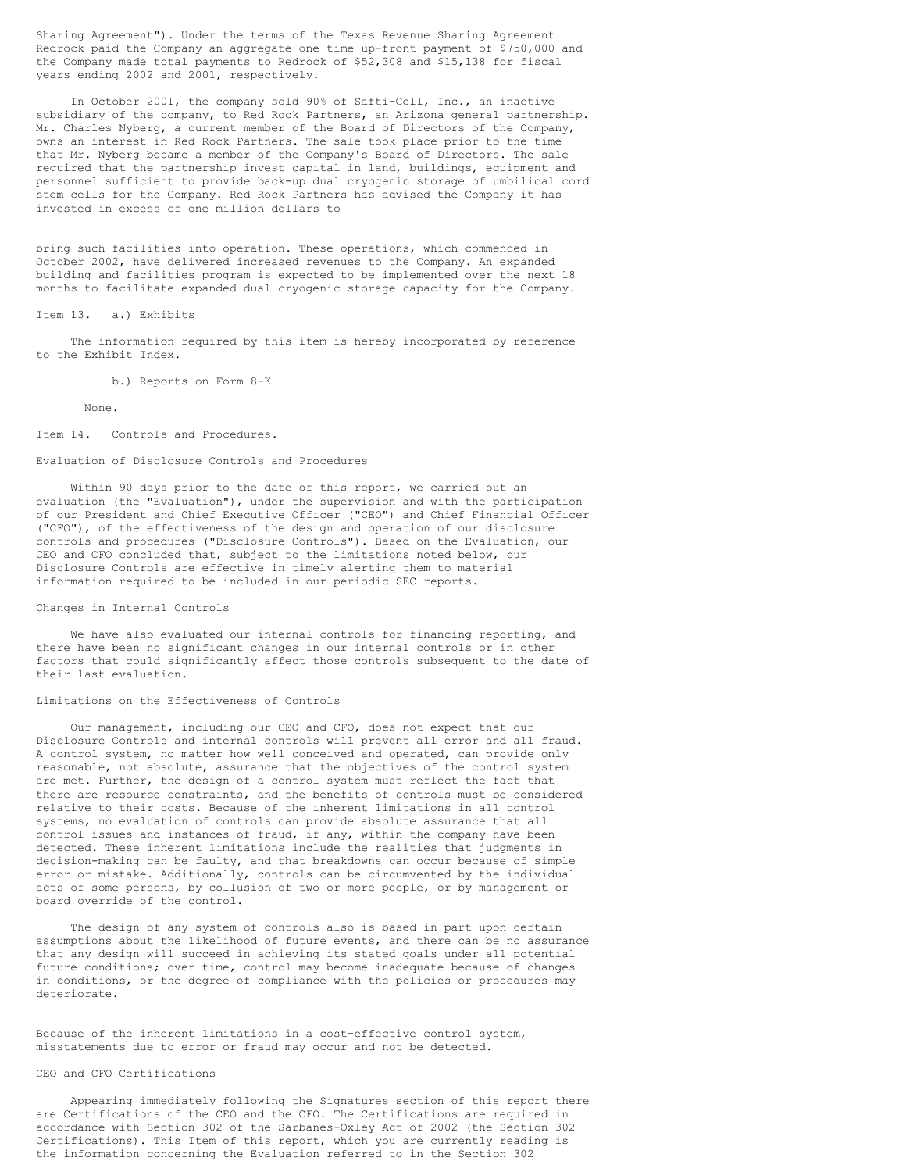Sharing Agreement"). Under the terms of the Texas Revenue Sharing Agreement Redrock paid the Company an aggregate one time up-front payment of \$750,000 and the Company made total payments to Redrock of \$52,308 and \$15,138 for fiscal years ending 2002 and 2001, respectively.

In October 2001, the company sold 90% of Safti-Cell, Inc., an inactive subsidiary of the company, to Red Rock Partners, an Arizona general partnership. Mr. Charles Nyberg, a current member of the Board of Directors of the Company, owns an interest in Red Rock Partners. The sale took place prior to the time that Mr. Nyberg became a member of the Company's Board of Directors. The sale required that the partnership invest capital in land, buildings, equipment and personnel sufficient to provide back-up dual cryogenic storage of umbilical cord stem cells for the Company. Red Rock Partners has advised the Company it has invested in excess of one million dollars to

bring such facilities into operation. These operations, which commenced in October 2002, have delivered increased revenues to the Company. An expanded building and facilities program is expected to be implemented over the next 18 months to facilitate expanded dual cryogenic storage capacity for the Company.

#### Item 13. a.) Exhibits

The information required by this item is hereby incorporated by reference to the Exhibit Index.

b.) Reports on Form 8-K

None.

Item 14. Controls and Procedures.

# Evaluation of Disclosure Controls and Procedures

Within 90 days prior to the date of this report, we carried out an evaluation (the "Evaluation"), under the supervision and with the participation of our President and Chief Executive Officer ("CEO") and Chief Financial Officer ("CFO"), of the effectiveness of the design and operation of our disclosure controls and procedures ("Disclosure Controls"). Based on the Evaluation, our CEO and CFO concluded that, subject to the limitations noted below, our Disclosure Controls are effective in timely alerting them to material information required to be included in our periodic SEC reports.

### Changes in Internal Controls

We have also evaluated our internal controls for financing reporting, and there have been no significant changes in our internal controls or in other factors that could significantly affect those controls subsequent to the date of their last evaluation.

### Limitations on the Effectiveness of Controls

Our management, including our CEO and CFO, does not expect that our Disclosure Controls and internal controls will prevent all error and all fraud. A control system, no matter how well conceived and operated, can provide only reasonable, not absolute, assurance that the objectives of the control system are met. Further, the design of a control system must reflect the fact that there are resource constraints, and the benefits of controls must be considered relative to their costs. Because of the inherent limitations in all control systems, no evaluation of controls can provide absolute assurance that all control issues and instances of fraud, if any, within the company have been detected. These inherent limitations include the realities that judgments in decision-making can be faulty, and that breakdowns can occur because of simple error or mistake. Additionally, controls can be circumvented by the individual acts of some persons, by collusion of two or more people, or by management or board override of the control.

The design of any system of controls also is based in part upon certain assumptions about the likelihood of future events, and there can be no assurance that any design will succeed in achieving its stated goals under all potential future conditions; over time, control may become inadequate because of changes in conditions, or the degree of compliance with the policies or procedures may deteriorate.

Because of the inherent limitations in a cost-effective control system, misstatements due to error or fraud may occur and not be detected.

# CEO and CFO Certifications

Appearing immediately following the Signatures section of this report there are Certifications of the CEO and the CFO. The Certifications are required in accordance with Section 302 of the Sarbanes-Oxley Act of 2002 (the Section 302 Certifications). This Item of this report, which you are currently reading is the information concerning the Evaluation referred to in the Section 302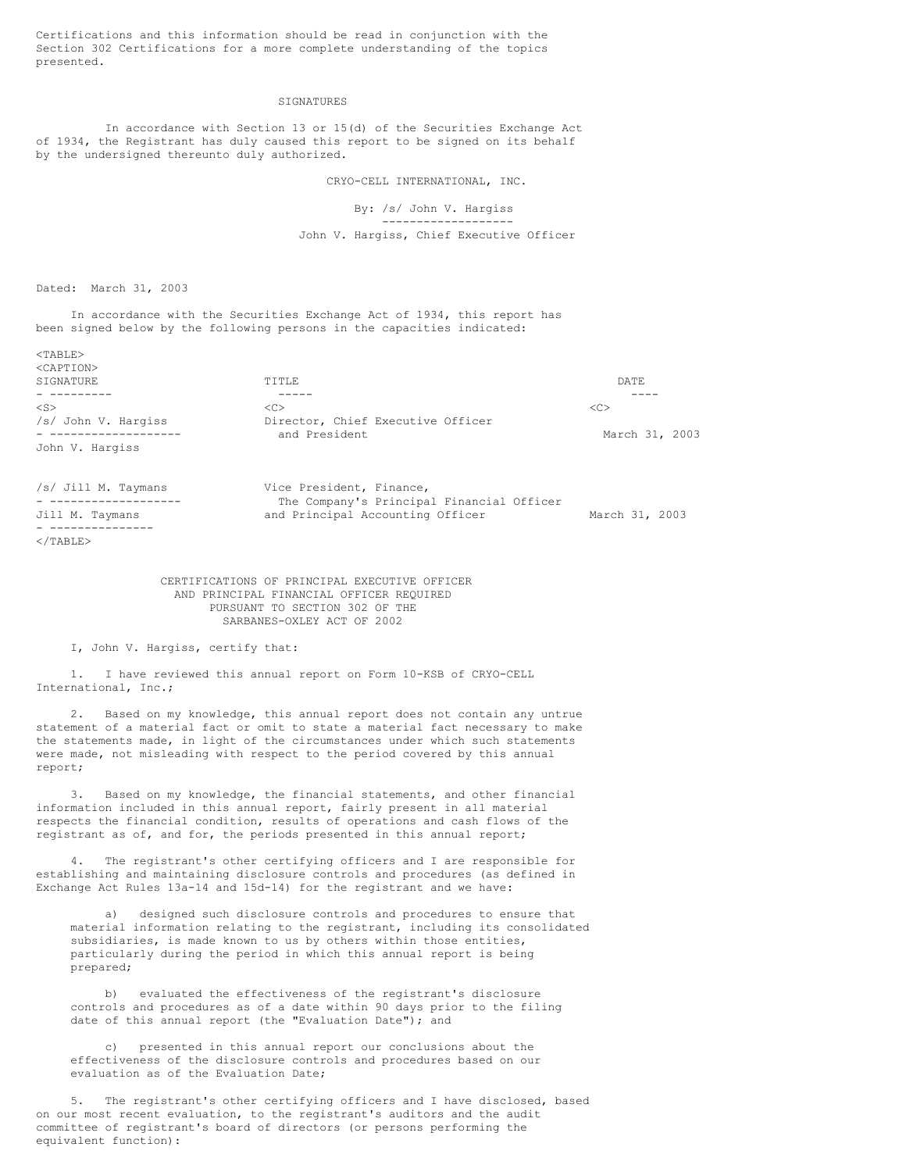Certifications and this information should be read in conjunction with the Section 302 Certifications for a more complete understanding of the topics presented.

#### SIGNATURES

In accordance with Section 13 or 15(d) of the Securities Exchange Act of 1934, the Registrant has duly caused this report to be signed on its behalf by the undersigned thereunto duly authorized.

CRYO-CELL INTERNATIONAL, INC.

By: /s/ John V. Hargiss

John V. Hargiss, Chief Executive Officer

-------------------

Dated: March 31, 2003

- ---------------

 $\langle$ /TABLE>

In accordance with the Securities Exchange Act of 1934, this report has been signed below by the following persons in the capacities indicated:

<TABLE> <CAPTION> SIGNATURE DATE DATE TITLE SERVICES OF THE SERVICE OF THE SERVICE OF THE SERVICE OF THE DATE - --------- ----- ---- <S> <C> <C> /s/ John V. Hargiss Director, Chief Executive Officer - ------------------- and President March 31, 2003 John V. Hargiss /s/ Jill M. Taymans Vice President, Finance, The Company's Principal Financial Officer Jill M. Taymans and Principal Accounting Officer March 31, 2003

> CERTIFICATIONS OF PRINCIPAL EXECUTIVE OFFICER AND PRINCIPAL FINANCIAL OFFICER REQUIRED PURSUANT TO SECTION 302 OF THE SARBANES-OXLEY ACT OF 2002

I, John V. Hargiss, certify that:

1. I have reviewed this annual report on Form 10-KSB of CRYO-CELL International, Inc.;

2. Based on my knowledge, this annual report does not contain any untrue statement of a material fact or omit to state a material fact necessary to make the statements made, in light of the circumstances under which such statements were made, not misleading with respect to the period covered by this annual report;

3. Based on my knowledge, the financial statements, and other financial information included in this annual report, fairly present in all material respects the financial condition, results of operations and cash flows of the registrant as of, and for, the periods presented in this annual report;

4. The registrant's other certifying officers and I are responsible for establishing and maintaining disclosure controls and procedures (as defined in Exchange Act Rules 13a-14 and 15d-14) for the registrant and we have:

a) designed such disclosure controls and procedures to ensure that material information relating to the registrant, including its consolidated subsidiaries, is made known to us by others within those entities, particularly during the period in which this annual report is being prepared;

b) evaluated the effectiveness of the registrant's disclosure controls and procedures as of a date within 90 days prior to the filing date of this annual report (the "Evaluation Date"); and

c) presented in this annual report our conclusions about the effectiveness of the disclosure controls and procedures based on our evaluation as of the Evaluation Date;

5. The registrant's other certifying officers and I have disclosed, based on our most recent evaluation, to the registrant's auditors and the audit committee of registrant's board of directors (or persons performing the equivalent function):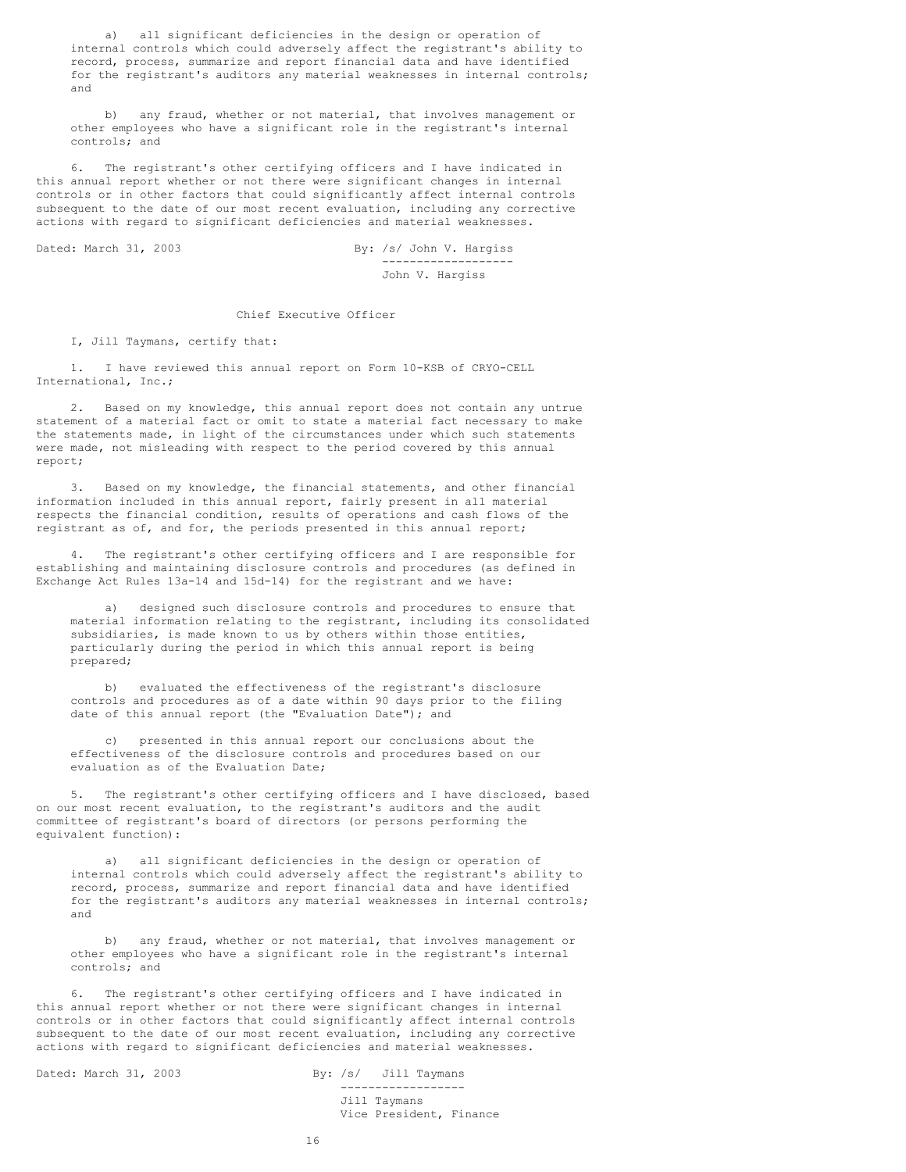a) all significant deficiencies in the design or operation of internal controls which could adversely affect the registrant's ability to record, process, summarize and report financial data and have identified for the registrant's auditors any material weaknesses in internal controls; and

b) any fraud, whether or not material, that involves management or other employees who have a significant role in the registrant's internal controls; and

6. The registrant's other certifying officers and I have indicated in this annual report whether or not there were significant changes in internal controls or in other factors that could significantly affect internal controls subsequent to the date of our most recent evaluation, including any corrective actions with regard to significant deficiencies and material weaknesses.

Dated: March 31, 2003 By: /s/ John V. Hargiss ------------------- John V. Hargiss

# Chief Executive Officer

I, Jill Taymans, certify that:

1. I have reviewed this annual report on Form 10-KSB of CRYO-CELL International, Inc.;

2. Based on my knowledge, this annual report does not contain any untrue statement of a material fact or omit to state a material fact necessary to make the statements made, in light of the circumstances under which such statements were made, not misleading with respect to the period covered by this annual report;

3. Based on my knowledge, the financial statements, and other financial information included in this annual report, fairly present in all material respects the financial condition, results of operations and cash flows of the registrant as of, and for, the periods presented in this annual report;

The registrant's other certifying officers and I are responsible for establishing and maintaining disclosure controls and procedures (as defined in Exchange Act Rules 13a-14 and 15d-14) for the registrant and we have:

a) designed such disclosure controls and procedures to ensure that material information relating to the registrant, including its consolidated subsidiaries, is made known to us by others within those entities, particularly during the period in which this annual report is being prepared;

b) evaluated the effectiveness of the registrant's disclosure controls and procedures as of a date within 90 days prior to the filing date of this annual report (the "Evaluation Date"); and

c) presented in this annual report our conclusions about the effectiveness of the disclosure controls and procedures based on our evaluation as of the Evaluation Date;

5. The registrant's other certifying officers and I have disclosed, based on our most recent evaluation, to the registrant's auditors and the audit committee of registrant's board of directors (or persons performing the equivalent function):

a) all significant deficiencies in the design or operation of internal controls which could adversely affect the registrant's ability to record, process, summarize and report financial data and have identified for the registrant's auditors any material weaknesses in internal controls; and

b) any fraud, whether or not material, that involves management or other employees who have a significant role in the registrant's internal controls; and

6. The registrant's other certifying officers and I have indicated in this annual report whether or not there were significant changes in internal controls or in other factors that could significantly affect internal controls subsequent to the date of our most recent evaluation, including any corrective actions with regard to significant deficiencies and material weaknesses.

Dated: March 31, 2003 By: /s/ Jill Taymans

------------------ Jill Taymans Vice President, Finance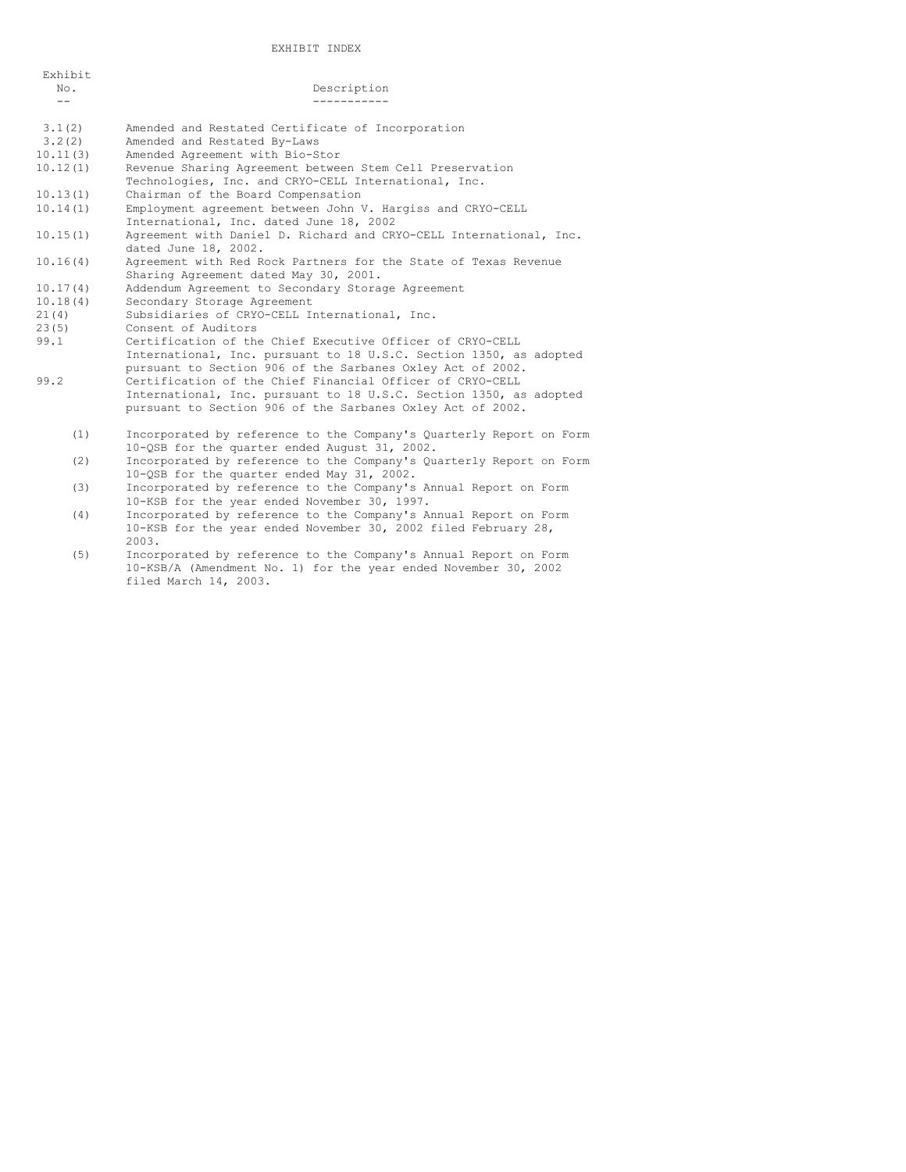EXHIBIT INDEX

| Exhibit<br>No. | Description                                                                                                                                 |
|----------------|---------------------------------------------------------------------------------------------------------------------------------------------|
| $- -$          |                                                                                                                                             |
| 3.1(2)         | Amended and Restated Certificate of Incorporation                                                                                           |
| 3,2(2)         | Amended and Restated By-Laws                                                                                                                |
| 10.11(3)       | Amended Agreement with Bio-Stor                                                                                                             |
| 10.12(1)       | Revenue Sharing Agreement between Stem Cell Preservation<br>Technologies, Inc. and CRYO-CELL International, Inc.                            |
| 10.13(1)       | Chairman of the Board Compensation                                                                                                          |
| 10.14(1)       | Employment agreement between John V. Hargiss and CRYO-CELL<br>International, Inc. dated June 18, 2002                                       |
| 10.15(1)       | Agreement with Daniel D. Richard and CRYO-CELL International, Inc.<br>dated June 18, 2002.                                                  |
| 10.16(4)       | Agreement with Red Rock Partners for the State of Texas Revenue<br>Sharing Agreement dated May 30, 2001.                                    |
| 10.17(4)       | Addendum Agreement to Secondary Storage Agreement                                                                                           |
| 10.18(4)       | Secondary Storage Agreement                                                                                                                 |
| 21 (4)         | Subsidiaries of CRYO-CELL International, Inc.                                                                                               |
| 23(5)          | Consent of Auditors                                                                                                                         |
| 99.1           | Certification of the Chief Executive Officer of CRYO-CELL                                                                                   |
|                | International, Inc. pursuant to 18 U.S.C. Section 1350, as adopted<br>pursuant to Section 906 of the Sarbanes Oxley Act of 2002.            |
| 99.2           | Certification of the Chief Financial Officer of CRYO-CELL                                                                                   |
|                | International, Inc. pursuant to 18 U.S.C. Section 1350, as adopted<br>pursuant to Section 906 of the Sarbanes Oxley Act of 2002.            |
| (1)            | Incorporated by reference to the Company's Quarterly Report on Form<br>10-QSB for the quarter ended August 31, 2002.                        |
| (2)            | Incorporated by reference to the Company's Quarterly Report on Form<br>10-QSB for the quarter ended May 31, 2002.                           |
| (3)            | Incorporated by reference to the Company's Annual Report on Form<br>10-KSB for the year ended November 30, 1997.                            |
| (4)            | Incorporated by reference to the Company's Annual Report on Form<br>10-KSB for the year ended November 30, 2002 filed February 28,<br>2003. |
| (5)            | Incorporated by reference to the Company's Annual Report on Form                                                                            |

10-KSB/A (Amendment No. 1) for the year ended November 30, 2002 filed March 14, 2003.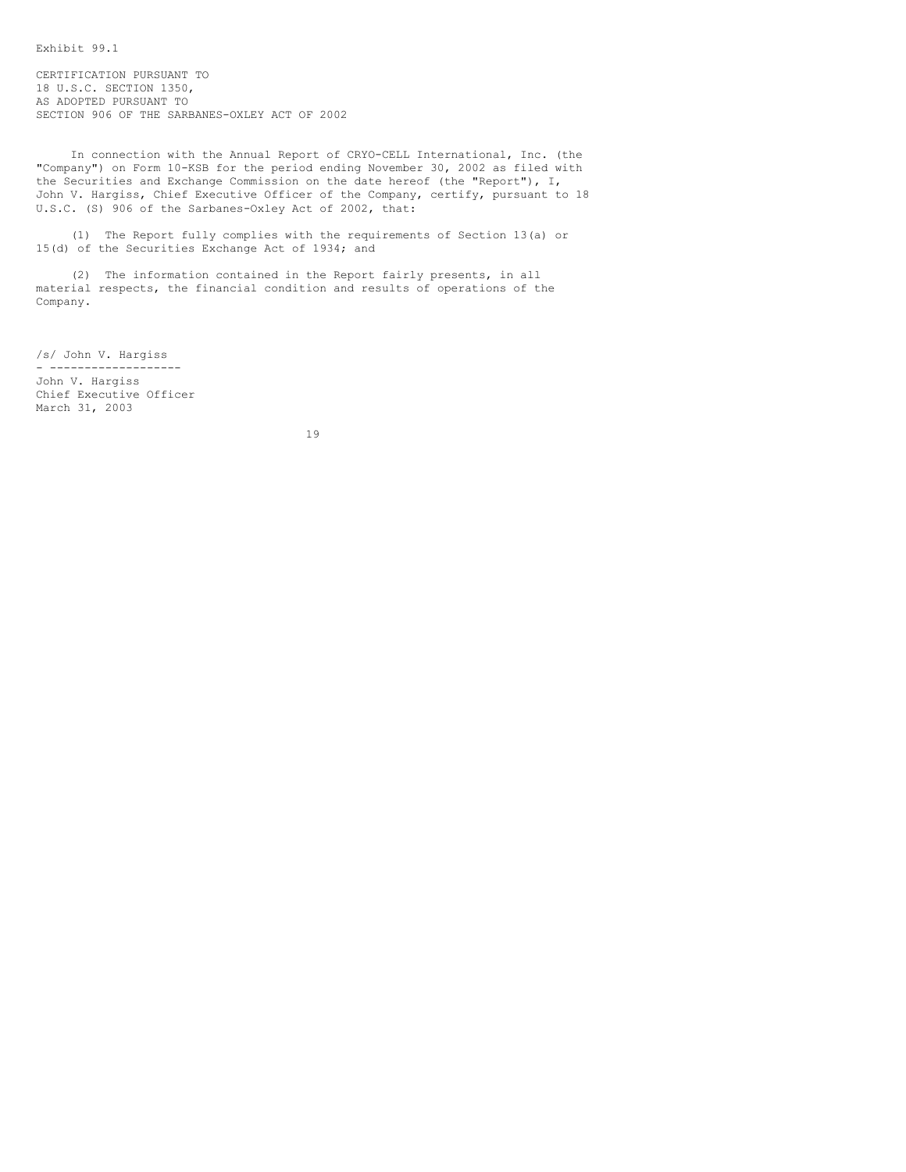Exhibit 99.1

CERTIFICATION PURSUANT TO 18 U.S.C. SECTION 1350, AS ADOPTED PURSUANT TO SECTION 906 OF THE SARBANES-OXLEY ACT OF 2002

In connection with the Annual Report of CRYO-CELL International, Inc. (the "Company") on Form 10-KSB for the period ending November 30, 2002 as filed with the Securities and Exchange Commission on the date hereof (the "Report"), I, John V. Hargiss, Chief Executive Officer of the Company, certify, pursuant to 18 U.S.C. (S) 906 of the Sarbanes-Oxley Act of 2002, that:

(1) The Report fully complies with the requirements of Section 13(a) or 15(d) of the Securities Exchange Act of 1934; and

(2) The information contained in the Report fairly presents, in all material respects, the financial condition and results of operations of the Company.

/s/ John V. Hargiss - -------------------

John V. Hargiss Chief Executive Officer March 31, 2003

19